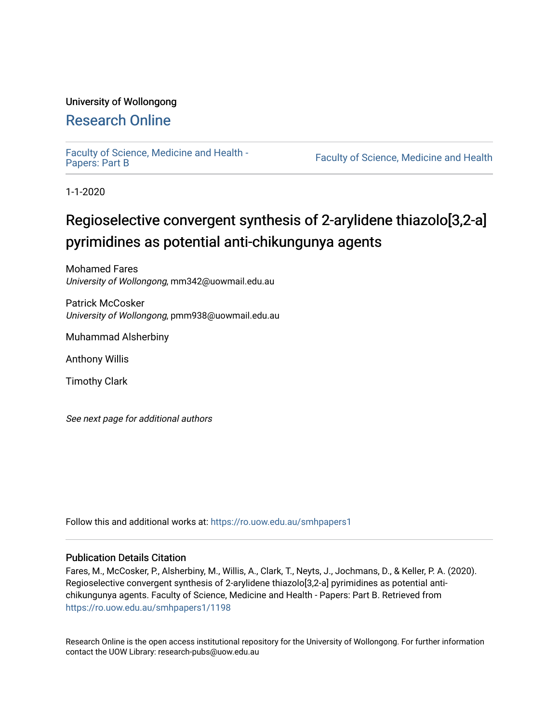### University of Wollongong

## [Research Online](https://ro.uow.edu.au/)

[Faculty of Science, Medicine and Health -](https://ro.uow.edu.au/smhpapers1) Papers: Part B

Faculty of Science, Medicine and Health

1-1-2020

# Regioselective convergent synthesis of 2-arylidene thiazolo[3,2-a] pyrimidines as potential anti-chikungunya agents

Mohamed Fares University of Wollongong, mm342@uowmail.edu.au

Patrick McCosker University of Wollongong, pmm938@uowmail.edu.au

Muhammad Alsherbiny

Anthony Willis

Timothy Clark

See next page for additional authors

Follow this and additional works at: [https://ro.uow.edu.au/smhpapers1](https://ro.uow.edu.au/smhpapers1?utm_source=ro.uow.edu.au%2Fsmhpapers1%2F1198&utm_medium=PDF&utm_campaign=PDFCoverPages)

#### Publication Details Citation

Fares, M., McCosker, P., Alsherbiny, M., Willis, A., Clark, T., Neyts, J., Jochmans, D., & Keller, P. A. (2020). Regioselective convergent synthesis of 2-arylidene thiazolo[3,2-a] pyrimidines as potential antichikungunya agents. Faculty of Science, Medicine and Health - Papers: Part B. Retrieved from [https://ro.uow.edu.au/smhpapers1/1198](https://ro.uow.edu.au/smhpapers1/1198?utm_source=ro.uow.edu.au%2Fsmhpapers1%2F1198&utm_medium=PDF&utm_campaign=PDFCoverPages) 

Research Online is the open access institutional repository for the University of Wollongong. For further information contact the UOW Library: research-pubs@uow.edu.au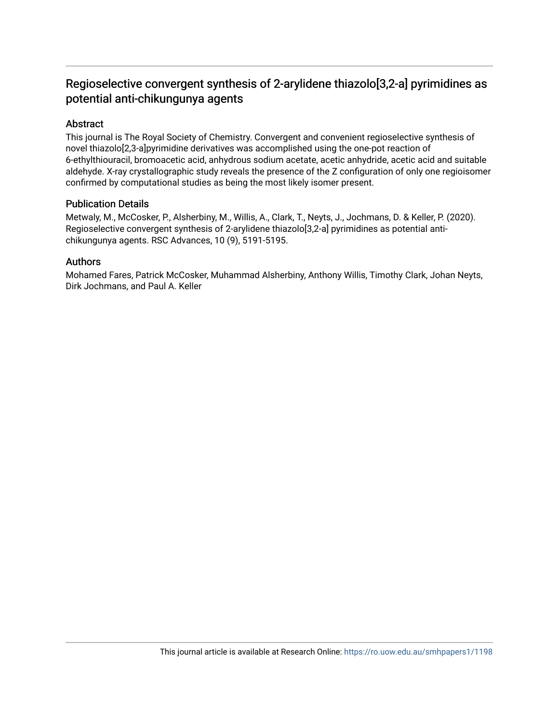## Regioselective convergent synthesis of 2-arylidene thiazolo[3,2-a] pyrimidines as potential anti-chikungunya agents

#### Abstract

This journal is The Royal Society of Chemistry. Convergent and convenient regioselective synthesis of novel thiazolo[2,3-a]pyrimidine derivatives was accomplished using the one-pot reaction of 6-ethylthiouracil, bromoacetic acid, anhydrous sodium acetate, acetic anhydride, acetic acid and suitable aldehyde. X-ray crystallographic study reveals the presence of the Z configuration of only one regioisomer confirmed by computational studies as being the most likely isomer present.

#### Publication Details

Metwaly, M., McCosker, P., Alsherbiny, M., Willis, A., Clark, T., Neyts, J., Jochmans, D. & Keller, P. (2020). Regioselective convergent synthesis of 2-arylidene thiazolo[3,2-a] pyrimidines as potential antichikungunya agents. RSC Advances, 10 (9), 5191-5195.

#### Authors

Mohamed Fares, Patrick McCosker, Muhammad Alsherbiny, Anthony Willis, Timothy Clark, Johan Neyts, Dirk Jochmans, and Paul A. Keller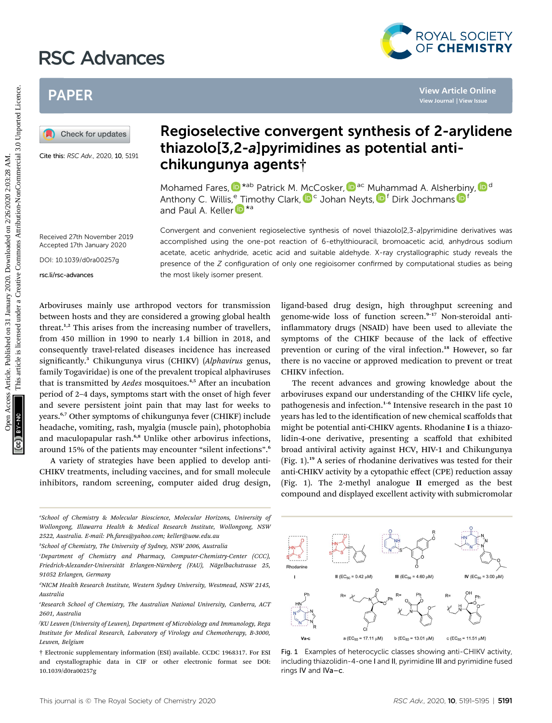# RSC Advances



## PAPER

Cite this: RSC Adv., 2020, 10, 5191

## Regioselective convergent synthesis of 2-arylidene thiazolo[3,2-a]pyrimidines as potential antichikungunya agents†

Mohamed Fares,  $\mathbb{D}^{*ab}$  Patrick M. McCosker,  $\mathbb{D}^{ac}$  Muhammad A. Alsherbiny,  $\mathbb{D}^{d}$ Anthony C. Willis,<sup>e</sup> Timothy Clark, D<sup>c</sup> Johan Neyts, D<sup>f</sup> Dirk Jochmans D<sup>1</sup> and Paul A. Keller<sup>in \*a</sup>

Received 27th November 2019 Accepted 17th January 2020

DOI: 10.1039/d0ra00257g

rsc.li/rsc-advances

Convergent and convenient regioselective synthesis of novel thiazolo[2,3-a]pyrimidine derivatives was accomplished using the one-pot reaction of 6-ethylthiouracil, bromoacetic acid, anhydrous sodium acetate, acetic anhydride, acetic acid and suitable aldehyde. X-ray crystallographic study reveals the presence of the Z configuration of only one regioisomer confirmed by computational studies as being the most likely isomer present.

Arboviruses mainly use arthropod vectors for transmission between hosts and they are considered a growing global health threat.1,2 This arises from the increasing number of travellers, from 450 million in 1990 to nearly 1.4 billion in 2018, and consequently travel-related diseases incidence has increased significantly.<sup>3</sup> Chikungunya virus (CHIKV) (Alphavirus genus, family Togaviridae) is one of the prevalent tropical alphaviruses that is transmitted by *Aedes* mosquitoes.<sup>4,5</sup> After an incubation period of 2–4 days, symptoms start with the onset of high fever and severe persistent joint pain that may last for weeks to years.6,7 Other symptoms of chikungunya fever (CHIKF) include headache, vomiting, rash, myalgia (muscle pain), photophobia and maculopapular rash.<sup>6,8</sup> Unlike other arbovirus infections, around 15% of the patients may encounter "silent infections". 6 PAPER<br> **PAPER**<br> **PAPER**<br> **PAPER**<br> **PAPER**<br> **PAPER**<br> **PAPER**<br> **PAPER CONSISERATION CONSISTS OF 2-arylide**<br> **Chicaroof Synchrometers**<br> **Chicaroof Synchrometers**<br> **PAPER CONSISTS TO 2-allytime through a spental anti-**<br> **PAPE** 

A variety of strategies have been applied to develop anti-CHIKV treatments, including vaccines, and for small molecule inhibitors, random screening, computer aided drug design,

ligand-based drug design, high throughput screening and genome-wide loss of function screen.<sup>9-17</sup> Non-steroidal antiinflammatory drugs (NSAID) have been used to alleviate the symptoms of the CHIKF because of the lack of effective prevention or curing of the viral infection.<sup>18</sup> However, so far there is no vaccine or approved medication to prevent or treat CHIKV infection.

The recent advances and growing knowledge about the arboviruses expand our understanding of the CHIKV life cycle, pathogenesis and infection.<sup>1-6</sup> Intensive research in the past 10 years has led to the identification of new chemical scaffolds that might be potential anti-CHIKV agents. Rhodanine I is a thiazolidin-4-one derivative, presenting a scaffold that exhibited broad antiviral activity against HCV, HIV-1 and Chikungunya (Fig. 1).<sup>19</sup> A series of rhodanine derivatives was tested for their anti-CHIKV activity by a cytopathic effect (CPE) reduction assay (Fig. 1). The 2-methyl analogue II emerged as the best compound and displayed excellent activity with submicromolar

a School of Chemistry & Molecular Bioscience, Molecular Horizons, University of Wollongong, Illawarra Health & Medical Research Institute, Wollongong, NSW 2522, Australia. E-mail: Ph.fares@yahoo.com; keller@uow.edu.au

<sup>†</sup> Electronic supplementary information (ESI) available. CCDC 1968317. For ESI and crystallographic data in CIF or other electronic format see DOI: 10.1039/d0ra00257g



Fig. 1 Examples of heterocyclic classes showing anti-CHIKV activity, including thiazolidin-4-one I and II, pyrimidine III and pyrimidine fused rings IV and IVa–c.

b School of Chemistry, The University of Sydney, NSW 2006, Australia

c Department of Chemistry and Pharmacy, Computer-Chemistry-Center (CCC), Friedrich-Alexander-Universität Erlangen-Nürnberg (FAU), Nägelbachstrasse 25, 91052 Erlangen, Germany

d NICM Health Research Institute, Western Sydney University, Westmead, NSW 2145, Australia

e Research School of Chemistry, The Australian National University, Canberra, ACT 2601, Australia

f KU Leuven (University of Leuven), Department of Microbiology and Immunology, Rega Institute for Medical Research, Laboratory of Virology and Chemotherapy, B-3000, Leuven, Belgium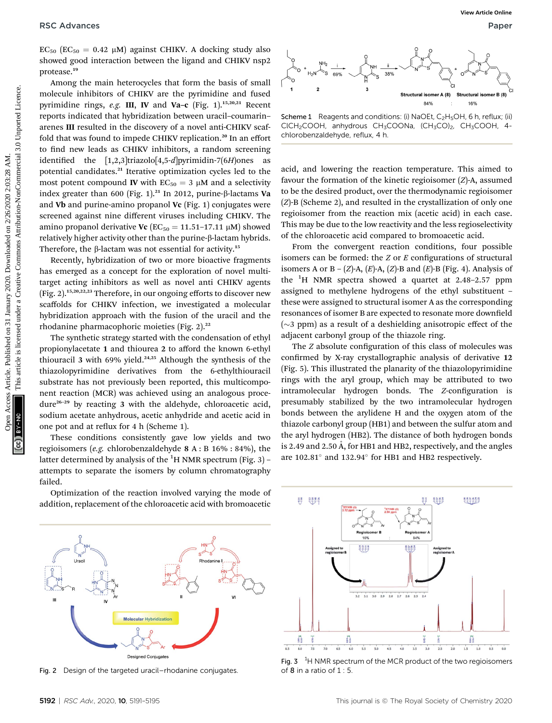$EC_{50}$  ( $EC_{50}$  = 0.42  $\mu$ M) against CHIKV. A docking study also showed good interaction between the ligand and CHIKV nsp2 protease.<sup>19</sup>

Among the main heterocycles that form the basis of small molecule inhibitors of CHIKV are the pyrimidine and fused pyrimidine rings, e.g. III, IV and Va-c (Fig. 1).<sup>15,20,21</sup> Recent reports indicated that hybridization between uracil–coumarin– arenes III resulted in the discovery of a novel anti-CHIKV scaffold that was found to impede CHIKV replication.<sup>20</sup> In an effort to find new leads as CHIKV inhibitors, a random screening identified the  $[1,2,3]$ triazolo $[4,5-d]$ pyrimidin-7 $(6H)$ ones as potential candidates.<sup>21</sup> Iterative optimization cycles led to the most potent compound **IV** with  $EC_{50} = 3 \mu M$  and a selectivity index greater than 600 (Fig. 1).<sup>21</sup> In 2012, purine- $\beta$ -lactams Va and Vb and purine-amino propanol Vc (Fig. 1) conjugates were screened against nine different viruses including CHIKV. The amino propanol derivative Vc ( $EC_{50} = 11.51 - 17.11 \mu M$ ) showed  $relatively higher activity other than the purine- $\beta$ -lactam hypothesis.$ Therefore, the  $\beta$ -lactam was not essential for activity.<sup>15</sup> **PSC** Articles.  $\alpha$  Article is the state of CHIV interior in Figure and the CREAT in the constraint interior in the state of CHIV are the pointing and interior interior interior in Figure 1. The common state of the state

Recently, hybridization of two or more bioactive fragments has emerged as a concept for the exploration of novel multitarget acting inhibitors as well as novel anti CHIKV agents (Fig. 2).15,20,22,23 Therefore, in our ongoing efforts to discover new scaffolds for CHIKV infection, we investigated a molecular hybridization approach with the fusion of the uracil and the rhodanine pharmacophoric moieties (Fig. 2).<sup>22</sup>

The synthetic strategy started with the condensation of ethyl propionylacetate 1 and thiourea 2 to afford the known 6-ethyl thiouracil 3 with 69% yield. $24,25$  Although the synthesis of the thiazolopyrimidine derivatives from the 6-ethylthiouracil substrate has not previously been reported, this multicomponent reaction (MCR) was achieved using an analogous procedure<sup>26</sup>–<sup>29</sup> by reacting 3 with the aldehyde, chloroacetic acid, sodium acetate anhydrous, acetic anhydride and acetic acid in one pot and at reflux for 4 h (Scheme 1).

These conditions consistently gave low yields and two regioisomers (e.g. chlorobenzaldehyde 8 A : B 16% : 84%), the latter determined by analysis of the  $^1\mathrm{H}$  NMR spectrum (Fig. 3) – attempts to separate the isomers by column chromatography failed.

Optimization of the reaction involved varying the mode of addition, replacement of the chloroacetic acid with bromoacetic



Scheme 1 Reagents and conditions: (i) NaOEt,  $C_2H_5OH$ , 6 h, reflux; (ii) CICH<sub>2</sub>COOH, anhydrous CH<sub>3</sub>COONa, (CH<sub>3</sub>CO)<sub>2</sub>, CH<sub>3</sub>COOH, 4chlorobenzaldehyde, reflux, 4 h.

acid, and lowering the reaction temperature. This aimed to favour the formation of the kinetic regioisomer (Z)-A, assumed to be the desired product, over the thermodynamic regioisomer (Z)-B (Scheme 2), and resulted in the crystallization of only one regioisomer from the reaction mix (acetic acid) in each case. This may be due to the low reactivity and the less regioselectivity of the chloroacetic acid compared to bromoacetic acid.

From the convergent reaction conditions, four possible isomers can be formed: the  $Z$  or  $E$  configurations of structural isomers A or B –  $(Z)$ -A,  $(E)$ -A,  $(Z)$ -B and  $(E)$ -B (Fig. 4). Analysis of the <sup>1</sup>H NMR spectra showed a quartet at 2.48-2.57 ppm assigned to methylene hydrogens of the ethyl substituent – these were assigned to structural isomer A as the corresponding resonances of isomer B are expected to resonate more downfield  $(\sim$  3 ppm) as a result of a deshielding anisotropic effect of the adjacent carbonyl group of the thiazole ring.

The *Z* absolute configuration of this class of molecules was confirmed by X-ray crystallographic analysis of derivative 12 (Fig. 5). This illustrated the planarity of the thiazolopyrimidine rings with the aryl group, which may be attributed to two intramolecular hydrogen bonds. The Z-configuration is presumably stabilized by the two intramolecular hydrogen bonds between the arylidene H and the oxygen atom of the thiazole carbonyl group (HB1) and between the sulfur atom and the aryl hydrogen (HB2). The distance of both hydrogen bonds is 2.49 and 2.50  $\AA$ , for HB1 and HB2, respectively, and the angles are  $102.81^\circ$  and  $132.94^\circ$  for HB1 and HB2 respectively.



Fig. 2 Design of the targeted uracil–rhodanine conjugates.



Fig.  $3<sup>-1</sup>H NMR spectrum of the MCR product of the two regions$ of  $8$  in a ratio of  $1:5$ .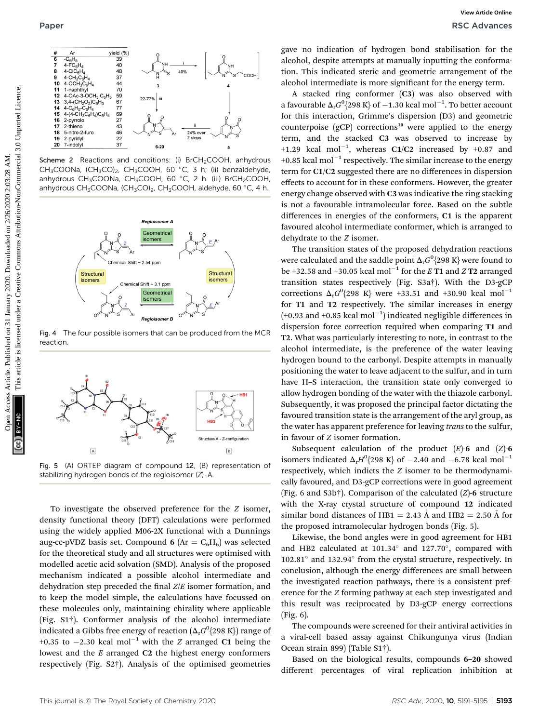

Scheme 2 Reactions and conditions: (i) BrCH<sub>2</sub>COOH, anhydrous CH<sub>3</sub>COONa, (CH<sub>3</sub>CO)<sub>2</sub>, CH<sub>3</sub>COOH, 60 °C, 3 h; (ii) benzaldehyde, anhydrous CH<sub>3</sub>COONa, CH<sub>3</sub>COOH, 60 °C, 2 h. (iii) BrCH<sub>2</sub>COOH, anhydrous CH<sub>3</sub>COONa, (CH<sub>3</sub>CO)<sub>2</sub>, CH<sub>3</sub>COOH, aldehyde, 60 °C, 4 h.



Fig. 4 The four possible isomers that can be produced from the MCR reaction.



Fig. 5 (A) ORTEP diagram of compound 12, (B) representation of stabilizing hydrogen bonds of the regioisomer (Z)-A.

To investigate the observed preference for the Z isomer, density functional theory (DFT) calculations were performed using the widely applied M06-2X functional with a Dunnings aug-cc-pVDZ basis set. Compound 6 ( $Ar = C_6H_6$ ) was selected for the theoretical study and all structures were optimised with modelled acetic acid solvation (SMD). Analysis of the proposed mechanism indicated a possible alcohol intermediate and dehydration step preceded the final  $Z/E$  isomer formation, and to keep the model simple, the calculations have focussed on these molecules only, maintaining chirality where applicable (Fig. S1†). Conformer analysis of the alcohol intermediate indicated a Gibbs free energy of reaction  $(\Delta_{\rm r} G^0\{298~{\rm K}\})$  range of +0.35 to  $-2.30$  kcal mol<sup>-1</sup> with the Z arranged C1 being the lowest and the E arranged C2 the highest energy conformers respectively (Fig. S2†). Analysis of the optimised geometries gave no indication of hydrogen bond stabilisation for the alcohol, despite attempts at manually inputting the conformation. This indicated steric and geometric arrangement of the alcohol intermediate is more significant for the energy term.

A stacked ring conformer (C3) was also observed with a favourable  $\Delta_{\rm r} G^0$ {298 K} of  $-1.30$  kcal mol $^{-1}$ . To better account for this interaction, Grimme's dispersion (D3) and geometric counterpoise  $(gCP)$  corrections<sup>30</sup> were applied to the energy term, and the stacked C3 was observed to increase by +1.29 kcal mol<sup>-1</sup>, whereas C1/C2 increased by +0.87 and +0.85 kcal mol<sup>-1</sup> respectively. The similar increase to the energy term for C1/C2 suggested there are no differences in dispersion effects to account for in these conformers. However, the greater energy change observed with C3 was indicative the ring stacking is not a favourable intramolecular force. Based on the subtle differences in energies of the conformers, C1 is the apparent favoured alcohol intermediate conformer, which is arranged to dehydrate to the Z isomer.

The transition states of the proposed dehydration reactions were calculated and the saddle point  $\Delta_{\rm r}G^0\{298~{\rm K}\}$  were found to be +32.58 and +30.05 kcal mol<sup>-1</sup> for the E **T1** and Z **T2** arranged transition states respectively (Fig. S3a†). With the D3-gCP corrections  $\Delta_{\rm r} G^0$ {298 K} were +33.51 and +30.90 kcal mol<sup>-1</sup> for T1 and T2 respectively. The similar increases in energy  $(+0.93$  and  $+0.85$  kcal mol<sup>-1</sup>) indicated negligible differences in dispersion force correction required when comparing T1 and T2. What was particularly interesting to note, in contrast to the alcohol intermediate, is the preference of the water leaving hydrogen bound to the carbonyl. Despite attempts in manually positioning the water to leave adjacent to the sulfur, and in turn have H–S interaction, the transition state only converged to allow hydrogen bonding of the water with the thiazole carbonyl. Subsequently, it was proposed the principal factor dictating the favoured transition state is the arrangement of the aryl group, as the water has apparent preference for leaving *trans* to the sulfur, in favour of Z isomer formation. Published on 31 Mate the internet of the commons are commons are commons are commons are commons are commons are commons are commons are commons are commons are commons at a state of the state of the state of the state of

> Subsequent calculation of the product  $(E)$ -6 and  $(Z)$ -6 isomers indicated  $\Delta_{\rm r} H^0$ {298 K} of -2.40 and -6.78 kcal mol<sup>-1</sup> respectively, which indicts the Z isomer to be thermodynamically favoured, and D3-gCP corrections were in good agreement (Fig. 6 and S3b†). Comparison of the calculated (Z)-6 structure with the X-ray crystal structure of compound 12 indicated similar bond distances of HB1 = 2.43  $\AA$  and HB2 = 2.50  $\AA$  for the proposed intramolecular hydrogen bonds (Fig. 5).

> Likewise, the bond angles were in good agreement for HB1 and HB2 calculated at  $101.34^\circ$  and  $127.70^\circ$ , compared with 102.81° and 132.94° from the crystal structure, respectively. In conclusion, although the energy differences are small between the investigated reaction pathways, there is a consistent preference for the Z forming pathway at each step investigated and this result was reciprocated by D3-gCP energy corrections (Fig. 6).

> The compounds were screened for their antiviral activities in a viral-cell based assay against Chikungunya virus (Indian Ocean strain 899) (Table S1†).

> Based on the biological results, compounds 6–20 showed different percentages of viral replication inhibition at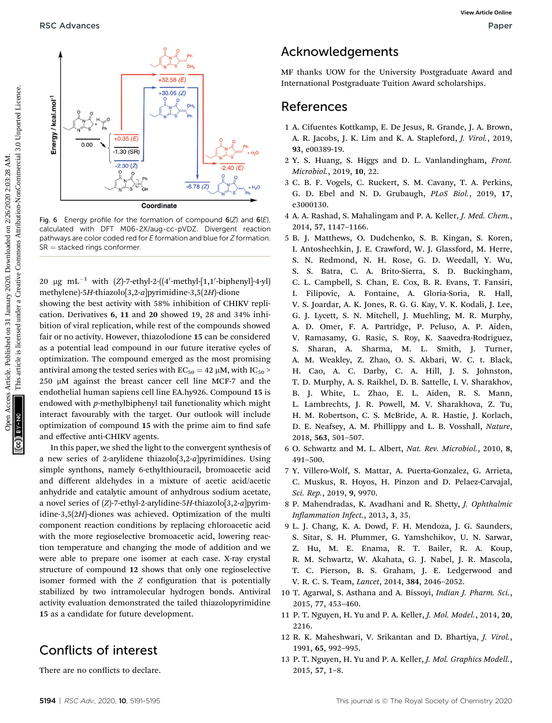

Fig. 6 Energy profile for the formation of compound  $6(Z)$  and  $6(E)$ , calculated with DFT M06-2X/aug-cc-pVDZ. Divergent reaction pathways are color coded red for E formation and blue for Z formation.  $SR =$  stacked rings conformer.

20  $\mu$ g mL<sup>-1</sup> with (Z)-7-ethyl-2-((4'-methyl-[1,1'-biphenyl]-4-yl) methylene)-5H-thiazolo[3,2-a]pyrimidine-3,5(2H)-dione showing the best activity with 58% inhibition of CHIKV replication. Derivatives 6, 11 and 20 showed 19, 28 and 34% inhibition of viral replication, while rest of the compounds showed fair or no activity. However, thiazolodione 15 can be considered as a potential lead compound in our future iterative cycles of optimization. The compound emerged as the most promising antiviral among the tested series with  $EC_{50} = 42 \mu M$ , with  $IC_{50}$  >  $250 \mu M$  against the breast cancer cell line MCF-7 and the endothelial human sapiens cell line EA.hy926. Compound 15 is endowed with p-methylbiphenyl tail functionality which might interact favourably with the target. Our outlook will include optimization of compound 15 with the prime aim to find safe and effective anti-CHIKV agents.

In this paper, we shed the light to the convergent synthesis of a new series of 2-arylidene thiazolo[3,2-a]pyrimidines. Using simple synthons, namely 6-ethylthiouracil, bromoacetic acid and different aldehydes in a mixture of acetic acid/acetic anhydride and catalytic amount of anhydrous sodium acetate, a novel series of  $(Z)$ -7-ethyl-2-arylidine-5H-thiazolo[3,2-a]pyrimidine-3,5(2H)-diones was achieved. Optimization of the multi component reaction conditions by replacing chloroacetic acid with the more regioselective bromoacetic acid, lowering reaction temperature and changing the mode of addition and we were able to prepare one isomer at each case. X-ray crystal structure of compound 12 shows that only one regioselective isomer formed with the  $Z$  configuration that is potentially stabilized by two intramolecular hydrogen bonds. Antiviral activity evaluation demonstrated the tailed thiazolopyrimidine 15 as a candidate for future development.

## Conflicts of interest

There are no conflicts to declare.

## Acknowledgements

MF thanks UOW for the University Postgraduate Award and International Postgraduate Tuition Award scholarships.

### References

- 1 A. Cifuentes Kottkamp, E. De Jesus, R. Grande, J. A. Brown, A. R. Jacobs, J. K. Lim and K. A. Stapleford, J. Virol., 2019, 93, e00389-19.
- 2 Y. S. Huang, S. Higgs and D. L. Vanlandingham, Front. Microbiol., 2019, 10, 22.
- 3 C. B. F. Vogels, C. Ruckert, S. M. Cavany, T. A. Perkins, G. D. Ebel and N. D. Grubaugh, PLoS Biol., 2019, 17, e3000130.
- 4 A. A. Rashad, S. Mahalingam and P. A. Keller, J. Med. Chem., 2014, 57, 1147–1166.
- 5 B. J. Matthews, O. Dudchenko, S. B. Kingan, S. Koren, I. Antoshechkin, J. E. Crawford, W. J. Glassford, M. Herre, S. N. Redmond, N. H. Rose, G. D. Weedall, Y. Wu, S. S. Batra, C. A. Brito-Sierra, S. D. Buckingham, C. L. Campbell, S. Chan, E. Cox, B. R. Evans, T. Fansiri, I. Filipovic, A. Fontaine, A. Gloria-Soria, R. Hall, V. S. Joardar, A. K. Jones, R. G. G. Kay, V. K. Kodali, J. Lee, G. J. Lycett, S. N. Mitchell, J. Muehling, M. R. Murphy, A. D. Omer, F. A. Partridge, P. Peluso, A. P. Aiden, V. Ramasamy, G. Rasic, S. Roy, K. Saavedra-Rodriguez, S. Sharan, A. Sharma, M. L. Smith, J. Turner, A. M. Weakley, Z. Zhao, O. S. Akbari, W. C. t. Black, H. Cao, A. C. Darby, C. A. Hill, J. S. Johnston, T. D. Murphy, A. S. Raikhel, D. B. Sattelle, I. V. Sharakhov, B. J. White, L. Zhao, E. L. Aiden, R. S. Mann, L. Lambrechts, J. R. Powell, M. V. Sharakhova, Z. Tu, H. M. Robertson, C. S. McBride, A. R. Hastie, J. Korlach, D. E. Neafsey, A. M. Phillippy and L. B. Vosshall, Nature, 2018, 563, 501–507. **PSC Advances**<br> **Open Access Articles.** Published on 31 January 2020. The intermediation of commons are the common and the same of the same of the same of the same of the common attention-NonCommercial Commons American Co
	- 6 O. Schwartz and M. L. Albert, Nat. Rev. Microbiol., 2010, 8, 491–500.
	- 7 Y. Villero-Wolf, S. Mattar, A. Puerta-Gonzalez, G. Arrieta, C. Muskus, R. Hoyos, H. Pinzon and D. Pelaez-Carvajal, Sci. Rep., 2019, 9, 9970.
	- 8 P. Mahendradas, K. Avadhani and R. Shetty, J. Ophthalmic Inflammation Infect., 2013, 3, 35.
	- 9 L. J. Chang, K. A. Dowd, F. H. Mendoza, J. G. Saunders, S. Sitar, S. H. Plummer, G. Yamshchikov, U. N. Sarwar, Z. Hu, M. E. Enama, R. T. Bailer, R. A. Koup, R. M. Schwartz, W. Akahata, G. J. Nabel, J. R. Mascola, T. C. Pierson, B. S. Graham, J. E. Ledgerwood and V. R. C. S. Team, Lancet, 2014, 384, 2046–2052.
	- 10 T. Agarwal, S. Asthana and A. Bissoyi, Indian J. Pharm. Sci., 2015, 77, 453–460.
	- 11 P. T. Nguyen, H. Yu and P. A. Keller, J. Mol. Model., 2014, 20, 2216.
	- 12 R. K. Maheshwari, V. Srikantan and D. Bhartiya, J. Virol., 1991, 65, 992–995.
	- 13 P. T. Nguyen, H. Yu and P. A. Keller, J. Mol. Graphics Modell., 2015, 57, 1–8.